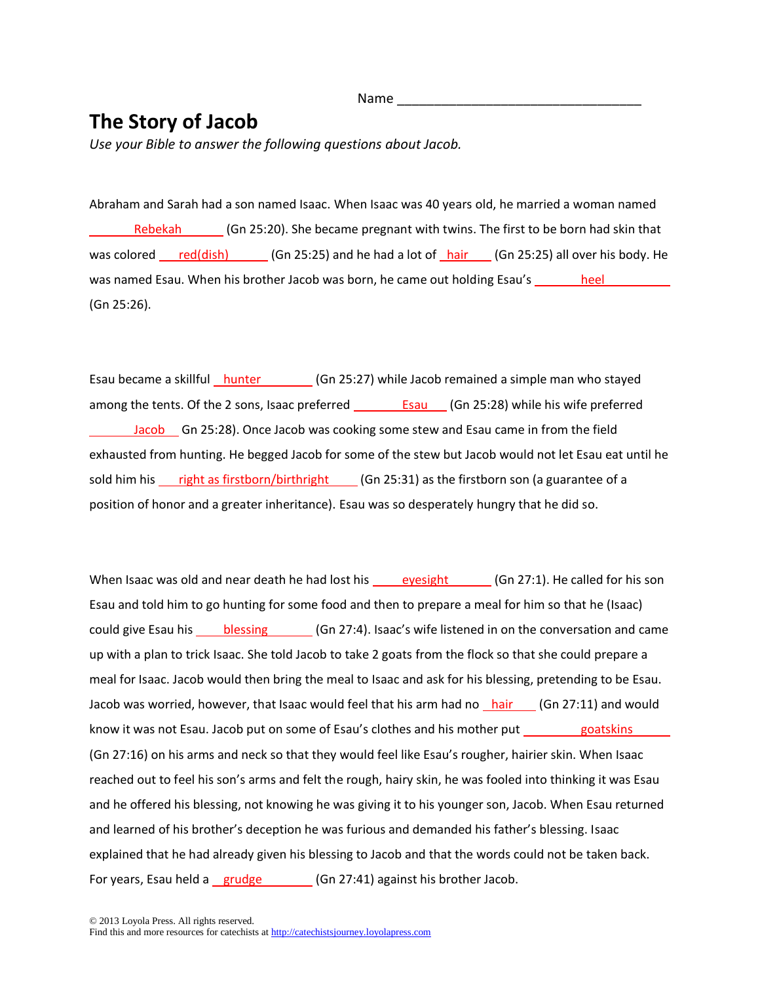## **The Story of Jacob**

*Use your Bible to answer the following questions about Jacob.*

Abraham and Sarah had a son named Isaac. When Isaac was 40 years old, he married a woman named Rebekah (Gn 25:20). She became pregnant with twins. The first to be born had skin that was colored red(dish) (Gn 25:25) and he had a lot of hair (Gn 25:25) all over his body. He was named Esau. When his brother Jacob was born, he came out holding Esau's heel (Gn 25:26).

Esau became a skillful hunter (Gn 25:27) while Jacob remained a simple man who stayed among the tents. Of the 2 sons, Isaac preferred **Esau** (Gn 25:28) while his wife preferred Jacob Gn 25:28). Once Jacob was cooking some stew and Esau came in from the field exhausted from hunting. He begged Jacob for some of the stew but Jacob would not let Esau eat until he sold him his right as firstborn/birthright (Gn 25:31) as the firstborn son (a guarantee of a position of honor and a greater inheritance). Esau was so desperately hungry that he did so.

When Isaac was old and near death he had lost his  $\rule{1em}{0.15mm}$  eyesight (Gn 27:1). He called for his son Esau and told him to go hunting for some food and then to prepare a meal for him so that he (Isaac) could give Esau his blessing (Gn 27:4). Isaac's wife listened in on the conversation and came up with a plan to trick Isaac. She told Jacob to take 2 goats from the flock so that she could prepare a meal for Isaac. Jacob would then bring the meal to Isaac and ask for his blessing, pretending to be Esau. Jacob was worried, however, that Isaac would feel that his arm had no hair (Gn 27:11) and would know it was not Esau. Jacob put on some of Esau's clothes and his mother put goatskins (Gn 27:16) on his arms and neck so that they would feel like Esau's rougher, hairier skin. When Isaac reached out to feel his son's arms and felt the rough, hairy skin, he was fooled into thinking it was Esau and he offered his blessing, not knowing he was giving it to his younger son, Jacob. When Esau returned and learned of his brother's deception he was furious and demanded his father's blessing. Isaac explained that he had already given his blessing to Jacob and that the words could not be taken back. For years, Esau held a grudge (Gn 27:41) against his brother Jacob.